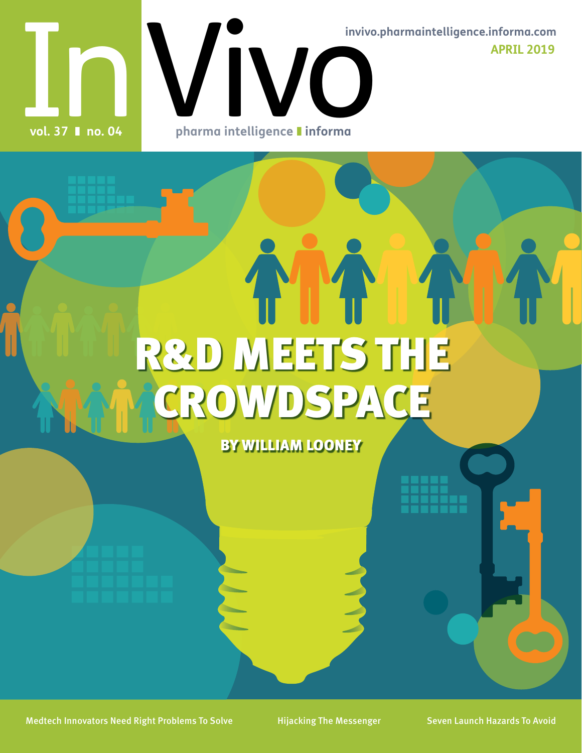In Vivo **APRIL 2019 invivo.pharmaintelligence.informa.com**

**vol. 37** ❚ **no. 04**

**pharma intelligence** ❚ **informa**

# R&D MEETS THE CROWDSPACE

BY WILLIAM LOONEY

Medtech Innovators Need Right Problems To Solve Hijacking The Messenger Seven Launch Hazards To Avoid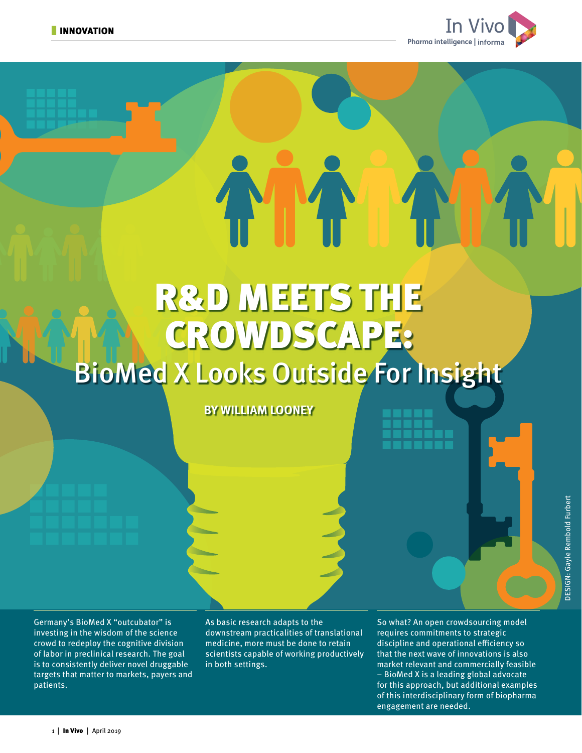

 $E = \sum_{n=1}^{\infty}$ 

## R&D MEETS THE CROWDSCAPE: BioMed X Looks Outside For Insight

**BY WILLIAM LOONEY**

Germany's BioMed X "outcubator" is investing in the wisdom of the science crowd to redeploy the cognitive division of labor in preclinical research. The goal is to consistently deliver novel druggable targets that matter to markets, payers and patients.

As basic research adapts to the downstream practicalities of translational medicine, more must be done to retain scientists capable of working productively in both settings.

So what? An open crowdsourcing model requires commitments to strategic discipline and operational efficiency so that the next wave of innovations is also market relevant and commercially feasible – BioMed X is a leading global advocate for this approach, but additional examples of this interdisciplinary form of biopharma engagement are needed.

**BY AUTHOR**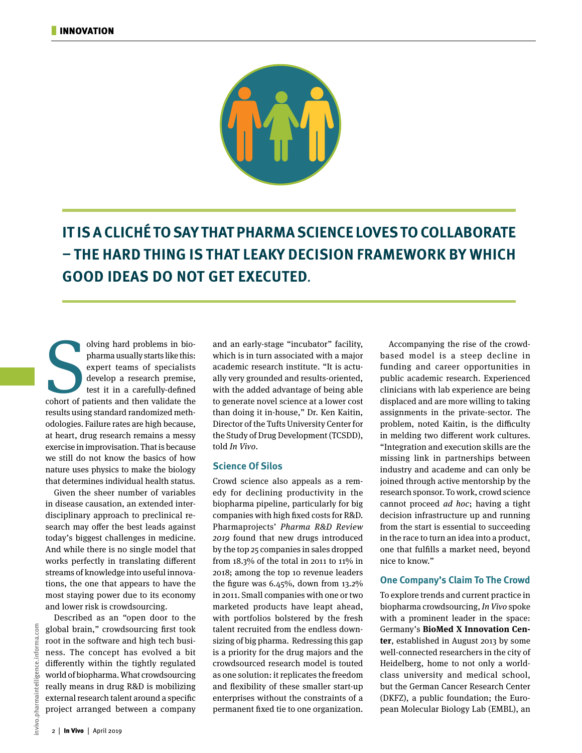

**IT IS A CLICHÉ TO SAY THAT PHARMA SCIENCE LOVES TO COLLABORATE – THE HARD THING IS THAT LEAKY DECISION FRAMEWORK BY WHICH GOOD IDEAS DO NOT GET EXECUTED.**

olving hard problems in bio-<br>pharma usually starts like this:<br>expert teams of specialists<br>develop a research premise,<br>test it in a carefully-defined<br>cohort of patients and then validate the olving hard problems in biopharma usually starts like this: expert teams of specialists develop a research premise, test it in a carefully-defined results using standard randomized methodologies. Failure rates are high because, at heart, drug research remains a messy exercise in improvisation. That is because we still do not know the basics of how nature uses physics to make the biology that determines individual health status.

Given the sheer number of variables in disease causation, an extended interdisciplinary approach to preclinical research may offer the best leads against today's biggest challenges in medicine. And while there is no single model that works perfectly in translating different streams of knowledge into useful innovations, the one that appears to have the most staying power due to its economy and lower risk is crowdsourcing.

Described as an "open door to the global brain," crowdsourcing first took root in the software and high tech business. The concept has evolved a bit differently within the tightly regulated world of biopharma. What crowdsourcing really means in drug R&D is mobilizing external research talent around a specific project arranged between a company

and an early-stage "incubator" facility, which is in turn associated with a major academic research institute. "It is actually very grounded and results-oriented, with the added advantage of being able to generate novel science at a lower cost than doing it in-house," Dr. Ken Kaitin, Director of the Tufts University Center for the Study of Drug Development (TCSDD), told In Vivo.

### **Science Of Silos**

Crowd science also appeals as a remedy for declining productivity in the biopharma pipeline, particularly for big companies with high fixed costs for R&D. Pharmaprojects' Pharma R&D Review 2019 found that new drugs introduced by the top 25 companies in sales dropped from 18.3% of the total in 2011 to 11% in 2018; among the top 10 revenue leaders the figure was 6.45%, down from 13.2% in 2011. Small companies with one or two marketed products have leapt ahead, with portfolios bolstered by the fresh talent recruited from the endless downsizing of big pharma. Redressing this gap is a priority for the drug majors and the crowdsourced research model is touted as one solution: it replicates the freedom and flexibility of these smaller start-up enterprises without the constraints of a permanent fixed tie to one organization.

Accompanying the rise of the crowdbased model is a steep decline in funding and career opportunities in public academic research. Experienced clinicians with lab experience are being displaced and are more willing to taking assignments in the private-sector. The problem, noted Kaitin, is the difficulty in melding two different work cultures. "Integration and execution skills are the missing link in partnerships between industry and academe and can only be joined through active mentorship by the research sponsor. To work, crowd science cannot proceed ad hoc; having a tight decision infrastructure up and running from the start is essential to succeeding in the race to turn an idea into a product, one that fulfills a market need, beyond nice to know."

### **One Company's Claim To The Crowd**

To explore trends and current practice in biopharma crowdsourcing, In Vivo spoke with a prominent leader in the space: Germany's **BioMed X Innovation Center**, established in August 2013 by some well-connected researchers in the city of Heidelberg, home to not only a worldclass university and medical school, but the German Cancer Research Center (DKFZ), a public foundation; the European Molecular Biology Lab (EMBL), an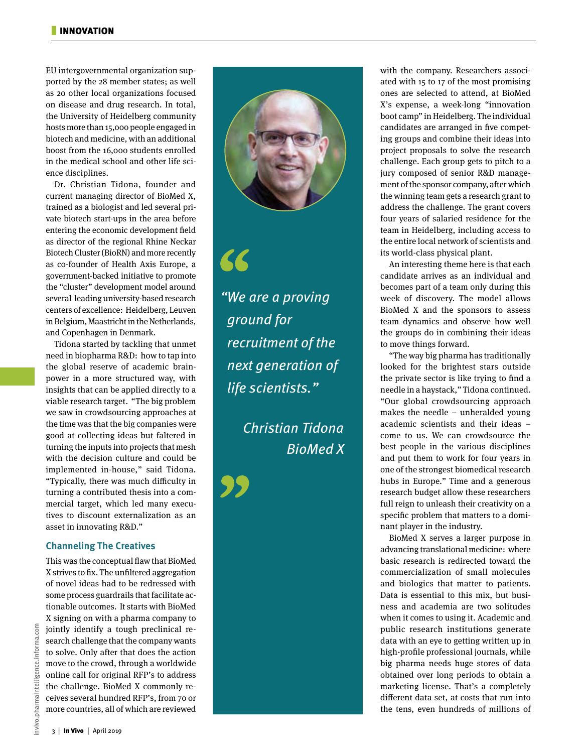EU intergovernmental organization supported by the 28 member states; as well as 20 other local organizations focused on disease and drug research. In total, the University of Heidelberg community hosts more than 15,000 people engaged in biotech and medicine, with an additional boost from the 16,000 students enrolled in the medical school and other life science disciplines.

Dr. Christian Tidona, founder and current managing director of BioMed X, trained as a biologist and led several private biotech start-ups in the area before entering the economic development field as director of the regional Rhine Neckar Biotech Cluster (BioRN) and more recently as co-founder of Health Axis Europe, a government-backed initiative to promote the "cluster" development model around several leading university-based research centers of excellence: Heidelberg, Leuven in Belgium, Maastricht in the Netherlands, and Copenhagen in Denmark.

Tidona started by tackling that unmet need in biopharma R&D: how to tap into the global reserve of academic brainpower in a more structured way, with insights that can be applied directly to a viable research target. "The big problem we saw in crowdsourcing approaches at the time was that the big companies were good at collecting ideas but faltered in turning the inputs into projects that mesh with the decision culture and could be implemented in-house," said Tidona. "Typically, there was much difficulty in turning a contributed thesis into a commercial target, which led many executives to discount externalization as an asset in innovating R&D."

### **Channeling The Creatives**

This was the conceptual flaw that BioMed X strives to fix. The unfiltered aggregation of novel ideas had to be redressed with some process guardrails that facilitate actionable outcomes. It starts with BioMed X signing on with a pharma company to jointly identify a tough preclinical research challenge that the company wants to solve. Only after that does the action move to the crowd, through a worldwide online call for original RFP's to address the challenge. BioMed X commonly receives several hundred RFP's, from 70 or more countries, all of which are reviewed



 $\blacktriangleright$ 

"We are a proving ground for recruitment of the next generation of life scientists."

> Christian Tidona BioMed X

with the company. Researchers associated with 15 to 17 of the most promising ones are selected to attend, at BioMed X's expense, a week-long "innovation boot camp" in Heidelberg. The individual candidates are arranged in five competing groups and combine their ideas into project proposals to solve the research challenge. Each group gets to pitch to a jury composed of senior R&D management of the sponsor company, after which the winning team gets a research grant to address the challenge. The grant covers four years of salaried residence for the team in Heidelberg, including access to the entire local network of scientists and its world-class physical plant.

An interesting theme here is that each candidate arrives as an individual and becomes part of a team only during this week of discovery. The model allows BioMed X and the sponsors to assess team dynamics and observe how well the groups do in combining their ideas to move things forward.

"The way big pharma has traditionally looked for the brightest stars outside the private sector is like trying to find a needle in a haystack," Tidona continued. "Our global crowdsourcing approach makes the needle – unheralded young academic scientists and their ideas – come to us. We can crowdsource the best people in the various disciplines and put them to work for four years in one of the strongest biomedical research hubs in Europe." Time and a generous research budget allow these researchers full reign to unleash their creativity on a specific problem that matters to a dominant player in the industry.

BioMed X serves a larger purpose in advancing translational medicine: where basic research is redirected toward the commercialization of small molecules and biologics that matter to patients. Data is essential to this mix, but business and academia are two solitudes when it comes to using it. Academic and public research institutions generate data with an eye to getting written up in high-profile professional journals, while big pharma needs huge stores of data obtained over long periods to obtain a marketing license. That's a completely different data set, at costs that run into the tens, even hundreds of millions of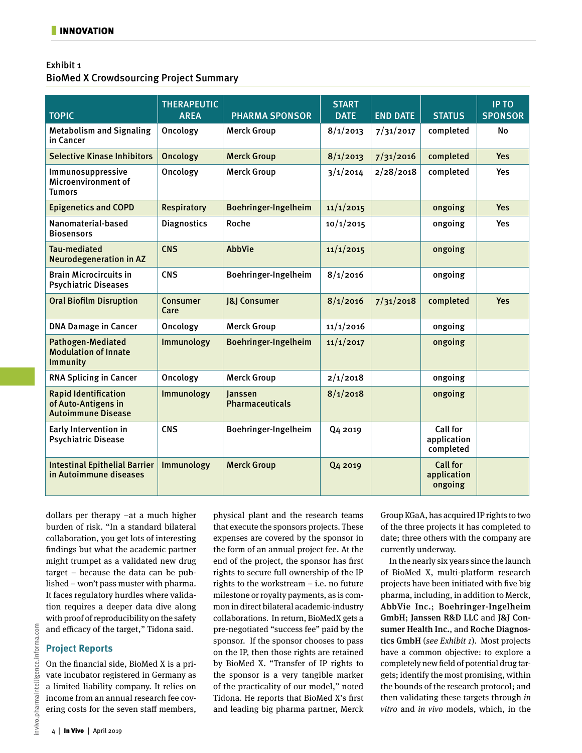## Exhibit 1

BioMed X Crowdsourcing Project Summary

| <b>TOPIC</b>                                                                    | <b>THERAPEUTIC</b><br><b>AREA</b> | <b>PHARMA SPONSOR</b>             | <b>START</b><br><b>DATE</b> | <b>END DATE</b> | <b>STATUS</b>                             | <b>IP TO</b><br><b>SPONSOR</b> |
|---------------------------------------------------------------------------------|-----------------------------------|-----------------------------------|-----------------------------|-----------------|-------------------------------------------|--------------------------------|
|                                                                                 |                                   |                                   |                             |                 |                                           |                                |
| <b>Metabolism and Signaling</b><br>in Cancer                                    | Oncology                          | <b>Merck Group</b>                | 8/1/2013                    | 7/31/2017       | completed                                 | <b>No</b>                      |
| <b>Selective Kinase Inhibitors</b>                                              | Oncology                          | <b>Merck Group</b>                | 8/1/2013                    | 7/31/2016       | completed                                 | <b>Yes</b>                     |
| Immunosuppressive<br>Microenvironment of<br><b>Tumors</b>                       | Oncology                          | <b>Merck Group</b>                | 3/1/2014                    | 2/28/2018       | completed                                 | <b>Yes</b>                     |
| <b>Epigenetics and COPD</b>                                                     | <b>Respiratory</b>                | Boehringer-Ingelheim              | 11/1/2015                   |                 | ongoing                                   | <b>Yes</b>                     |
| Nanomaterial-based<br><b>Biosensors</b>                                         | <b>Diagnostics</b>                | Roche                             | 10/1/2015                   |                 | ongoing                                   | <b>Yes</b>                     |
| <b>Tau-mediated</b><br><b>Neurodegeneration in AZ</b>                           | <b>CNS</b>                        | <b>AbbVie</b>                     | 11/1/2015                   |                 | ongoing                                   |                                |
| <b>Brain Microcircuits in</b><br><b>Psychiatric Diseases</b>                    | <b>CNS</b>                        | Boehringer-Ingelheim              | 8/1/2016                    |                 | ongoing                                   |                                |
| <b>Oral Biofilm Disruption</b>                                                  | Consumer<br>Care                  | <b>8   Consumer</b>               | 8/1/2016                    | 7/31/2018       | completed                                 | Yes                            |
| <b>DNA Damage in Cancer</b>                                                     | Oncology                          | <b>Merck Group</b>                | 11/1/2016                   |                 | ongoing                                   |                                |
| <b>Pathogen-Mediated</b><br><b>Modulation of Innate</b><br>Immunity             | Immunology                        | Boehringer-Ingelheim              | 11/1/2017                   |                 | ongoing                                   |                                |
| <b>RNA Splicing in Cancer</b>                                                   | Oncology                          | <b>Merck Group</b>                | 2/1/2018                    |                 | ongoing                                   |                                |
| <b>Rapid Identification</b><br>of Auto-Antigens in<br><b>Autoimmune Disease</b> | Immunology                        | lanssen<br><b>Pharmaceuticals</b> | 8/1/2018                    |                 | ongoing                                   |                                |
| Early Intervention in<br><b>Psychiatric Disease</b>                             | <b>CNS</b>                        | Boehringer-Ingelheim              | Q <sub>4</sub> 2019         |                 | Call for<br>application<br>completed      |                                |
| <b>Intestinal Epithelial Barrier</b><br>in Autoimmune diseases                  | Immunology                        | <b>Merck Group</b>                | Q4 2019                     |                 | <b>Call for</b><br>application<br>ongoing |                                |

nvivo.pharmaintelligence.informa.com invivo.pharmaintelligence.informa.com

dollars per therapy –at a much higher burden of risk. "In a standard bilateral collaboration, you get lots of interesting findings but what the academic partner might trumpet as a validated new drug target – because the data can be published – won't pass muster with pharma. It faces regulatory hurdles where validation requires a deeper data dive along with proof of reproducibility on the safety and efficacy of the target," Tidona said.

### **Project Reports**

On the financial side, BioMed X is a private incubator registered in Germany as a limited liability company. It relies on income from an annual research fee covering costs for the seven staff members,

physical plant and the research teams that execute the sponsors projects. These expenses are covered by the sponsor in the form of an annual project fee. At the end of the project, the sponsor has first rights to secure full ownership of the IP rights to the workstream  $-$  i.e. no future milestone or royalty payments, as is common in direct bilateral academic-industry collaborations. In return, BioMedX gets a pre-negotiated "success fee" paid by the sponsor. If the sponsor chooses to pass on the IP, then those rights are retained by BioMed X. "Transfer of IP rights to the sponsor is a very tangible marker of the practicality of our model," noted Tidona. He reports that BioMed X's first and leading big pharma partner, Merck Group KGaA, has acquired IP rights to two of the three projects it has completed to date; three others with the company are currently underway.

In the nearly six years since the launch of BioMed X, multi-platform research projects have been initiated with five big pharma, including, in addition to Merck, AbbVie Inc.; Boehringer-Ingelheim GmbH; Janssen R&D LLC and J&J Consumer Health Inc., and Roche Diagnostics GmbH (see Exhibit 1). Most projects have a common objective: to explore a completely new field of potential drug targets; identify the most promising, within the bounds of the research protocol; and then validating these targets through in vitro and in vivo models, which, in the